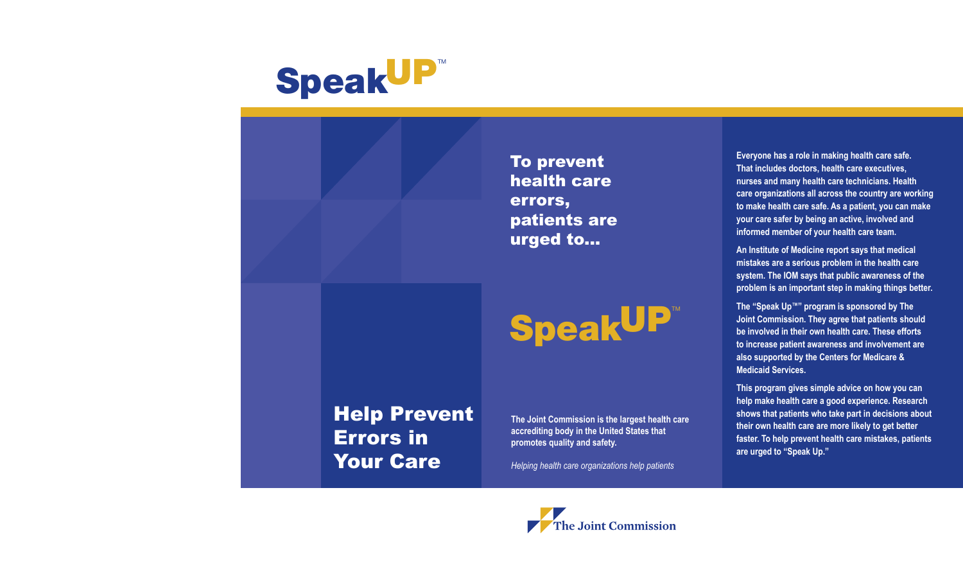

To prevent health care errors, patients are urged to...

# SpeakUP

Help Prevent Errors in Your Care

**The Joint Commission is the largest health care accrediting body in the United States that promotes quality and safety.**

*Helping health care organizations help patients*

**Everyone has a role in making health care safe. That includes doctors, health care executives, nurses and many health care technicians. Health care organizations all across the country are working to make health care safe. As a patient, you can make your care safer by being an active, involved and informed member of your health care team.**

**An Institute of Medicine report says that medical mistakes are a serious problem in the health care system. The IOM says that public awareness of the problem is an important step in making things better.**

**The "Speak Up™" program is sponsored by The Joint Commission. They agree that patients should be involved in their own health care. These efforts to increase patient awareness and involvement are also supported by the Centers for Medicare & Medicaid Services.** 

**This program gives simple advice on how you can help make health care a good experience. Research shows that patients who take part in decisions about their own health care are more likely to get better faster. To help prevent health care mistakes, patients are urged to "Speak Up."**